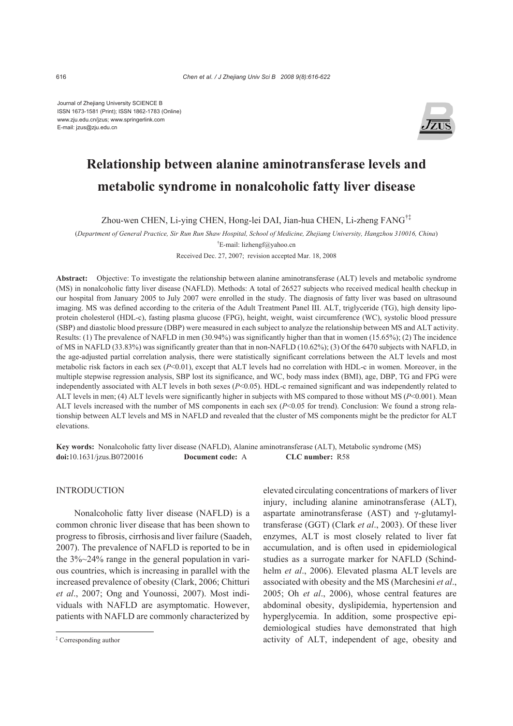Journal of Zhejiang University SCIENCE B ISSN 1673-1581 (Print); ISSN 1862-1783 (Online) www.zju.edu.cn/jzus; www.springerlink.com E-mail: jzus@zju.edu.cn



# **Relationship between alanine aminotransferase levels and metabolic syndrome in nonalcoholic fatty liver disease**

Zhou-wen CHEN, Li-ying CHEN, Hong-lei DAI, Jian-hua CHEN, Li-zheng FANG†‡

(*Department of General Practice, Sir Run Run Shaw Hospital, School of Medicine, Zhejiang University, Hangzhou 310016, China*)

† E-mail: lizhengf@yahoo.cn

Received Dec. 27, 2007; revision accepted Mar. 18, 2008

**Abstract:** Objective: To investigate the relationship between alanine aminotransferase (ALT) levels and metabolic syndrome (MS) in nonalcoholic fatty liver disease (NAFLD). Methods: A total of 26527 subjects who received medical health checkup in our hospital from January 2005 to July 2007 were enrolled in the study. The diagnosis of fatty liver was based on ultrasound imaging. MS was defined according to the criteria of the Adult Treatment Panel III. ALT, triglyceride (TG), high density lipoprotein cholesterol (HDL-c), fasting plasma glucose (FPG), height, weight, waist circumference (WC), systolic blood pressure (SBP) and diastolic blood pressure (DBP) were measured in each subject to analyze the relationship between MS and ALT activity. Results: (1) The prevalence of NAFLD in men (30.94%) was significantly higher than that in women (15.65%); (2) The incidence of MS in NAFLD (33.83%) was significantly greater than that in non-NAFLD (10.62%); (3) Of the 6470 subjects with NAFLD, in the age-adjusted partial correlation analysis, there were statistically significant correlations between the ALT levels and most metabolic risk factors in each sex (*P*<0.01), except that ALT levels had no correlation with HDL-c in women. Moreover, in the multiple stepwise regression analysis, SBP lost its significance, and WC, body mass index (BMI), age, DBP, TG and FPG were independently associated with ALT levels in both sexes (*P*<0.05). HDL-c remained significant and was independently related to ALT levels in men; (4) ALT levels were significantly higher in subjects with MS compared to those without MS ( $P<0.001$ ). Mean ALT levels increased with the number of MS components in each sex (*P*<0.05 for trend). Conclusion: We found a strong relationship between ALT levels and MS in NAFLD and revealed that the cluster of MS components might be the predictor for ALT elevations.

**Key words:** Nonalcoholic fatty liver disease (NAFLD), Alanine aminotransferase (ALT), Metabolic syndrome (MS) **doi:**10.1631/jzus.B0720016 **Document code:** A **CLC number:** R58

# **INTRODUCTION**

Nonalcoholic fatty liver disease (NAFLD) is a common chronic liver disease that has been shown to progress to fibrosis, cirrhosis and liver failure (Saadeh, 2007). The prevalence of NAFLD is reported to be in the 3%~24% range in the general population in various countries, which is increasing in parallel with the increased prevalence of obesity (Clark, 2006; Chitturi *et al*., 2007; Ong and Younossi, 2007). Most individuals with NAFLD are asymptomatic. However, patients with NAFLD are commonly characterized by

elevated circulating concentrations of markers of liver injury, including alanine aminotransferase (ALT), aspartate aminotransferase (AST) and γ-glutamyltransferase (GGT) (Clark *et al*., 2003). Of these liver enzymes, ALT is most closely related to liver fat accumulation, and is often used in epidemiological studies as a surrogate marker for NAFLD (Schindhelm *et al*., 2006). Elevated plasma ALT levels are associated with obesity and the MS (Marchesini *et al*., 2005; Oh *et al*., 2006), whose central features are abdominal obesity, dyslipidemia, hypertension and hyperglycemia. In addition, some prospective epidemiological studies have demonstrated that high activity of ALT, independent of age, obesity and

<sup>‡</sup> Corresponding author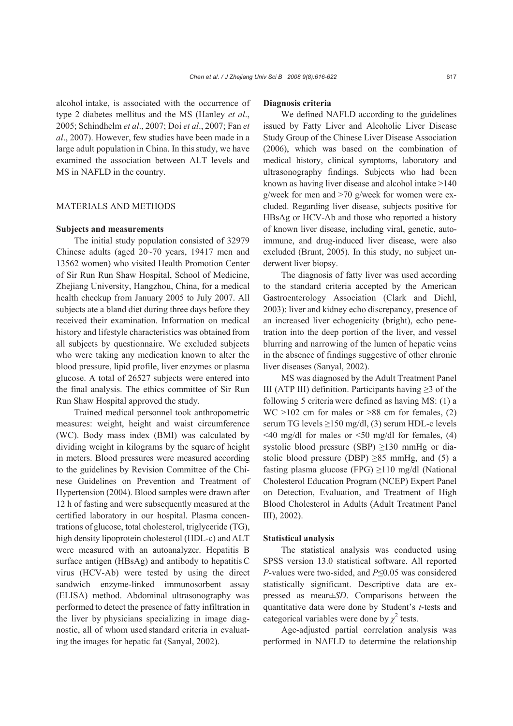alcohol intake, is associated with the occurrence of type 2 diabetes mellitus and the MS (Hanley *et al*., 2005; Schindhelm *et al*., 2007; Doi *et al*., 2007; Fan *et al*., 2007). However, few studies have been made in a large adult population in China. In thisstudy, we have examined the association between ALT levels and MS in NAFLD in the country.

# MATERIALS AND METHODS

#### **Subjects and measurements**

The initial study population consisted of 32979 Chinese adults (aged 20~70 years, 19417 men and 13562 women) who visited Health Promotion Center of Sir Run Run Shaw Hospital, School of Medicine, Zhejiang University, Hangzhou, China, for a medical health checkup from January 2005 to July 2007. All subjects ate a bland diet during three days before they received their examination. Information on medical history and lifestyle characteristics was obtained from all subjects by questionnaire. We excluded subjects who were taking any medication known to alter the blood pressure, lipid profile, liver enzymes or plasma glucose. A total of 26527 subjects were entered into the final analysis. The ethics committee of Sir Run Run Shaw Hospital approved the study.

Trained medical personnel took anthropometric measures: weight, height and waist circumference (WC). Body mass index (BMI) was calculated by dividing weight in kilograms by the square of height in meters. Blood pressures were measured according to the guidelines by Revision Committee of the Chinese Guidelines on Prevention and Treatment of Hypertension (2004). Blood samples were drawn after 12 h of fasting and were subsequently measured at the certified laboratory in our hospital. Plasma concentrations of glucose, total cholesterol, triglyceride (TG), high density lipoprotein cholesterol (HDL-c) and ALT were measured with an autoanalyzer. Hepatitis B surface antigen (HBsAg) and antibody to hepatitis C virus (HCV-Ab) were tested by using the direct sandwich enzyme-linked immunosorbent assay (ELISA) method. Abdominal ultrasonography was performed to detect the presence of fatty infiltration in the liver by physicians specializing in image diagnostic, all of whom used standard criteria in evaluating the images for hepatic fat (Sanyal, 2002).

## **Diagnosis criteria**

We defined NAFLD according to the guidelines issued by Fatty Liver and Alcoholic Liver Disease Study Group of the Chinese Liver Disease Association (2006), which was based on the combination of medical history, clinical symptoms, laboratory and ultrasonography findings. Subjects who had been known as having liver disease and alcohol intake >140 g/week for men and >70 g/week for women were excluded. Regarding liver disease, subjects positive for HBsAg or HCV-Ab and those who reported a history of known liver disease, including viral, genetic, autoimmune, and drug-induced liver disease, were also excluded (Brunt, 2005). In this study, no subject underwent liver biopsy.

The diagnosis of fatty liver was used according to the standard criteria accepted by the American Gastroenterology Association (Clark and Diehl, 2003): liver and kidney echo discrepancy, presence of an increased liver echogenicity (bright), echo penetration into the deep portion of the liver, and vessel blurring and narrowing of the lumen of hepatic veins in the absence of findings suggestive of other chronic liver diseases (Sanyal, 2002).

MS was diagnosed by the Adult Treatment Panel III (ATP III) definition. Participants having  $\geq$ 3 of the following 5 criteria were defined as having MS: (1) a  $WC > 102$  cm for males or  $> 88$  cm for females, (2) serum TG levels  $\geq$ 150 mg/dl, (3) serum HDL-c levels  $\leq$ 40 mg/dl for males or  $\leq$ 50 mg/dl for females, (4) systolic blood pressure (SBP)  $\geq$ 130 mmHg or diastolic blood pressure (DBP)  $\geq 85$  mmHg, and (5) a fasting plasma glucose (FPG)  $\geq$ 110 mg/dl (National Cholesterol Education Program (NCEP) Expert Panel on Detection, Evaluation, and Treatment of High Blood Cholesterol in Adults (Adult Treatment Panel III), 2002).

## **Statistical analysis**

The statistical analysis was conducted using SPSS version 13.0 statistical software. All reported *P*-values were two-sided, and *P*≤0.05 was considered statistically significant. Descriptive data are expressed as mean±*SD*. Comparisons between the quantitative data were done by Student's *t*-tests and categorical variables were done by  $\chi^2$  tests.

Age-adjusted partial correlation analysis was performed in NAFLD to determine the relationship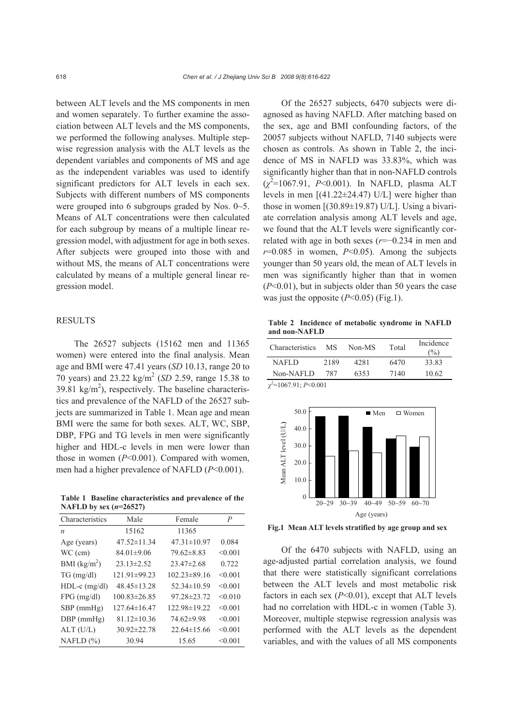between ALT levels and the MS components in men and women separately. To further examine the association between ALT levels and the MS components, we performed the following analyses. Multiple stepwise regression analysis with the ALT levels as the dependent variables and components of MS and age as the independent variables was used to identify significant predictors for ALT levels in each sex. Subjects with different numbers of MS components were grouped into 6 subgroups graded by Nos. 0~5. Means of ALT concentrations were then calculated for each subgroup by means of a multiple linear regression model, with adjustment for age in both sexes. After subjects were grouped into those with and without MS, the means of ALT concentrations were calculated by means of a multiple general linear regression model.

## RESULTS

The 26527 subjects (15162 men and 11365 women) were entered into the final analysis. Mean age and BMI were 47.41 years (*SD* 10.13, range 20 to 70 years) and 23.22 kg/m2 (*SD* 2.59, range 15.38 to 39.81  $\text{kg/m}^2$ ), respectively. The baseline characteristics and prevalence of the NAFLD of the 26527 subjects are summarized in Table 1. Mean age and mean BMI were the same for both sexes. ALT, WC, SBP, DBP, FPG and TG levels in men were significantly higher and HDL-c levels in men were lower than those in women (*P*<0.001). Compared with women, men had a higher prevalence of NAFLD (*P*<0.001).

**Table 1 Baseline characteristics and prevalence of the NAFLD by sex (***n***=26527)**

| Characteristics  | Male               | Female             | P       |
|------------------|--------------------|--------------------|---------|
| $\boldsymbol{n}$ | 15162              | 11365              |         |
| Age (years)      | $47.52 \pm 11.34$  | $47.31 \pm 10.97$  | 0.084   |
| $WC$ (cm)        | $84.01 \pm 9.06$   | $79.62 \pm 8.83$   | < 0.001 |
| BMI $(kg/m2)$    | $23.13 \pm 2.52$   | $23.47 \pm 2.68$   | 0.722   |
| $TG \, (mg/dl)$  | 121.91±99.23       | $102.23 \pm 89.16$ | < 0.001 |
| $HDL-c$ (mg/dl)  | $48.45 \pm 13.28$  | 52.34±10.59        | < 0.001 |
| $FPG$ (mg/dl)    | $100.83 \pm 26.85$ | 97.28±23.72        | < 0.010 |
| SBP (mmHg)       | $127.64 \pm 16.47$ | 122.98±19.22       | < 0.001 |
| DBP (mmHg)       | $81.12 \pm 10.36$  | 74.62±9.98         | < 0.001 |
| $ALT$ (U/L)      | $30.92 \pm 22.78$  | $22.64 \pm 15.66$  | < 0.001 |
| NAFLD $(\% )$    | 30.94              | 15.65              | < 0.001 |

Of the 26527 subjects, 6470 subjects were diagnosed as having NAFLD. After matching based on the sex, age and BMI confounding factors, of the 20057 subjects without NAFLD, 7140 subjects were chosen as controls. As shown in Table 2, the incidence of MS in NAFLD was 33.83%, which was significantly higher than that in non-NAFLD controls (*χ* 2 =1067.91, *P*<0.001). In NAFLD, plasma ALT levels in men [(41.22±24.47) U/L] were higher than those in women  $[(30.89 \pm 19.87)$  U/L]. Using a bivariate correlation analysis among ALT levels and age, we found that the ALT levels were significantly correlated with age in both sexes (*r*=−0.234 in men and  $r=0.085$  in women,  $P<0.05$ ). Among the subjects younger than 50 years old, the mean of ALT levels in men was significantly higher than that in women (*P*<0.01), but in subjects older than 50 years the case was just the opposite  $(P<0.05)$  (Fig.1).

**Table 2 Incidence of metabolic syndrome in NAFLD and non-NAFLD**

| Characteristics | МS   | Non-MS | Total | Incidence<br>(%) |
|-----------------|------|--------|-------|------------------|
| NAFLD.          | 2189 | 4281   | 6470  | 33.83            |
| Non-NAFLD       | 787  | 6353   | 7140  | 10.62            |

*χ*2 =1067.91; *P*<0.001



**Fig.1 Mean ALT levels stratified by age group and sex**

Of the 6470 subjects with NAFLD, using an age-adjusted partial correlation analysis, we found that there were statistically significant correlations between the ALT levels and most metabolic risk factors in each sex (*P*<0.01), except that ALT levels had no correlation with HDL-c in women (Table 3). Moreover, multiple stepwise regression analysis was performed with the ALT levels as the dependent variables, and with the values of all MS components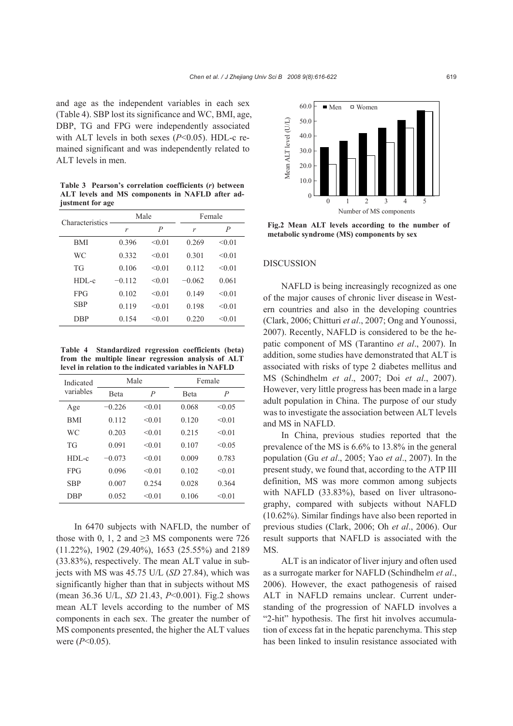and age as the independent variables in each sex (Table 4). SBP lost its significance and WC, BMI, age, DBP, TG and FPG were independently associated with ALT levels in both sexes (*P*<0.05). HDL-c remained significant and was independently related to ALT levels in men.

**Table 3 Pearson's correlation coefficients (***r***) between ALT levels and MS components in NAFLD after adjustment for age**

| Characteristics | Male     |        | Female        |                |
|-----------------|----------|--------|---------------|----------------|
|                 | r        | P      | $\mathcal{V}$ | $\overline{P}$ |
| BMI             | 0.396    | < 0.01 | 0.269         | < 0.01         |
| WС              | 0.332    | < 0.01 | 0.301         | < 0.01         |
| TG              | 0.106    | < 0.01 | 0.112         | < 0.01         |
| $HDL-c$         | $-0.112$ | < 0.01 | $-0.062$      | 0.061          |
| <b>FPG</b>      | 0.102    | < 0.01 | 0.149         | < 0.01         |
| <b>SBP</b>      | 0.119    | < 0.01 | 0.198         | < 0.01         |
| DBP             | 0.154    | < 0.01 | 0.220         | < 0.01         |
|                 |          |        |               |                |

**Table 4 Standardized regression coefficients (beta) from the multiple linear regression analysis of ALT level in relation to the indicated variables in NAFLD**

| Indicated<br>variables | Male         |        | Female       |                |
|------------------------|--------------|--------|--------------|----------------|
|                        | <b>B</b> eta | P      | <b>B</b> eta | $\overline{P}$ |
| Age                    | $-0.226$     | < 0.01 | 0.068        | < 0.05         |
| BMI                    | 0.112        | < 0.01 | 0.120        | < 0.01         |
| WС                     | 0.203        | < 0.01 | 0.215        | < 0.01         |
| TG                     | 0.091        | < 0.01 | 0.107        | < 0.05         |
| $HDL-c$                | $-0.073$     | < 0.01 | 0.009        | 0.783          |
| <b>FPG</b>             | 0.096        | < 0.01 | 0.102        | < 0.01         |
| <b>SBP</b>             | 0.007        | 0.254  | 0.028        | 0.364          |
| DBP                    | 0.052        | < 0.01 | 0.106        | < 0.01         |

In 6470 subjects with NAFLD, the number of those with 0, 1, 2 and  $\geq$ 3 MS components were 726 (11.22%), 1902 (29.40%), 1653 (25.55%) and 2189 (33.83%), respectively. The mean ALT value in subjects with MS was 45.75 U/L (*SD* 27.84), which was significantly higher than that in subjects without MS (mean 36.36 U/L, *SD* 21.43, *P*<0.001). Fig.2 shows mean ALT levels according to the number of MS components in each sex. The greater the number of MS components presented, the higher the ALT values were (*P*<0.05).



**Fig.2 Mean ALT levels according to the number of metabolic syndrome (MS) components by sex**

#### DISCUSSION

NAFLD is being increasingly recognized as one of the major causes of chronic liver disease in Western countries and also in the developing countries (Clark, 2006; Chitturi *et al*., 2007; Ong and Younossi, 2007). Recently, NAFLD is considered to be the hepatic component of MS (Tarantino *et al*., 2007). In addition, some studies have demonstrated that ALT is associated with risks of type 2 diabetes mellitus and MS (Schindhelm *et al*., 2007; Doi *et al*., 2007). However, very little progress has been made in a large adult population in China. The purpose of our study was to investigate the association between ALT levels and MS in NAFLD.

In China, previous studies reported that the prevalence of the MS is 6.6% to 13.8% in the general population (Gu *et al*., 2005; Yao *et al*., 2007). In the present study, we found that, according to the ATP III definition, MS was more common among subjects with NAFLD (33.83%), based on liver ultrasonography, compared with subjects without NAFLD (10.62%). Similar findings have also been reported in previous studies (Clark, 2006; Oh *et al*., 2006). Our result supports that NAFLD is associated with the MS.

ALT is an indicator of liver injury and often used as a surrogate marker for NAFLD (Schindhelm *et al*., 2006). However, the exact pathogenesis of raised ALT in NAFLD remains unclear. Current understanding of the progression of NAFLD involves a "2-hit" hypothesis. The first hit involves accumulation of excess fat in the hepatic parenchyma. This step has been linked to insulin resistance associated with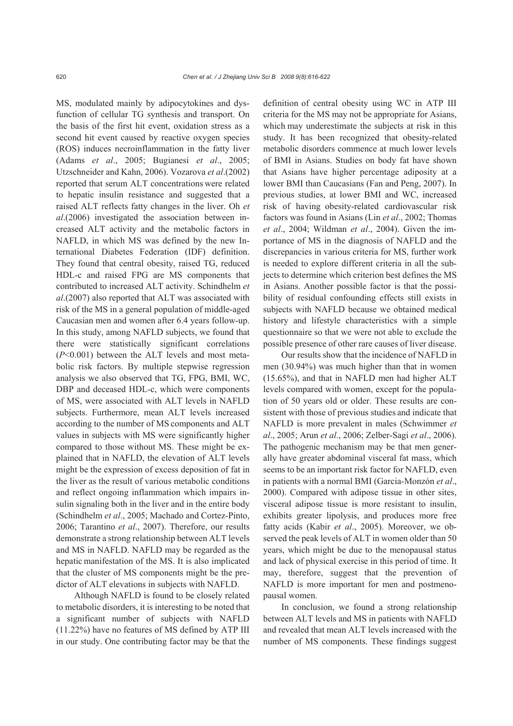MS, modulated mainly by adipocytokines and dysfunction of cellular TG synthesis and transport. On the basis of the first hit event, oxidation stress as a second hit event caused by reactive oxygen species (ROS) induces necroinflammation in the fatty liver (Adams *et al*., 2005; Bugianesi *et al*., 2005; Utzschneider and Kahn, 2006). Vozarova *et al*.(2002) reported that serum ALT concentrations were related to hepatic insulin resistance and suggested that a raised ALT reflects fatty changes in the liver. Oh *et al*.(2006) investigated the association between increased ALT activity and the metabolic factors in NAFLD, in which MS was defined by the new International Diabetes Federation (IDF) definition. They found that central obesity, raised TG, reduced HDL-c and raised FPG are MS components that contributed to increased ALT activity. Schindhelm *et al*.(2007) also reported that ALT was associated with risk of the MS in a general population of middle-aged Caucasian men and women after 6.4 years follow-up. In this study, among NAFLD subjects, we found that there were statistically significant correlations (*P*<0.001) between the ALT levels and most metabolic risk factors. By multiple stepwise regression analysis we also observed that TG, FPG, BMI, WC, DBP and deceased HDL-c, which were components of MS, were associated with ALT levels in NAFLD subjects. Furthermore, mean ALT levels increased according to the number of MS components and ALT values in subjects with MS were significantly higher compared to those without MS. These might be explained that in NAFLD, the elevation of ALT levels might be the expression of excess deposition of fat in the liver as the result of various metabolic conditions and reflect ongoing inflammation which impairs insulin signaling both in the liver and in the entire body (Schindhelm *et al*., 2005; Machado and Cortez-Pinto, 2006; Tarantino *et al*., 2007). Therefore, our results demonstrate a strong relationship between ALT levels and MS in NAFLD. NAFLD may be regarded as the hepatic manifestation of the MS. It is also implicated that the cluster of MS components might be the predictor of ALT elevations in subjects with NAFLD.

Although NAFLD is found to be closely related to metabolic disorders, it is interesting to be noted that a significant number of subjects with NAFLD (11.22%) have no features of MS defined by ATP III in our study. One contributing factor may be that the

definition of central obesity using WC in ATP III criteria for the MS may not be appropriate for Asians, which may underestimate the subjects at risk in this study. It has been recognized that obesity-related metabolic disorders commence at much lower levels of BMI in Asians. Studies on body fat have shown that Asians have higher percentage adiposity at a lower BMI than Caucasians (Fan and Peng, 2007). In previous studies, at lower BMI and WC, increased risk of having obesity-related cardiovascular risk factors was found in Asians (Lin *et al*., 2002; Thomas *et al*., 2004; Wildman *et al*., 2004). Given the importance of MS in the diagnosis of NAFLD and the discrepancies in various criteria for MS, further work is needed to explore different criteria in all the subjects to determine which criterion best defines the MS in Asians. Another possible factor is that the possibility of residual confounding effects still exists in subjects with NAFLD because we obtained medical history and lifestyle characteristics with a simple questionnaire so that we were not able to exclude the possible presence of other rare causes of liver disease.

Our results show that the incidence of NAFLD in men (30.94%) was much higher than that in women (15.65%), and that in NAFLD men had higher ALT levels compared with women, except for the population of 50 years old or older. These results are consistent with those of previous studies and indicate that NAFLD is more prevalent in males (Schwimmer *et al*., 2005; Arun *et al*., 2006; Zelber-Sagi *et al*., 2006). The pathogenic mechanism may be that men generally have greater abdominal visceral fat mass, which seems to be an important risk factor for NAFLD, even in patients with a normal BMI (Garcia-Monzón *et al*., 2000). Compared with adipose tissue in other sites, visceral adipose tissue is more resistant to insulin, exhibits greater lipolysis, and produces more free fatty acids (Kabir *et al*., 2005). Moreover, we observed the peak levels of ALT in women older than 50 years, which might be due to the menopausal status and lack of physical exercise in this period of time. It may, therefore, suggest that the prevention of NAFLD is more important for men and postmenopausal women.

In conclusion, we found a strong relationship between ALT levels and MS in patients with NAFLD and revealed that mean ALT levels increased with the number of MS components. These findings suggest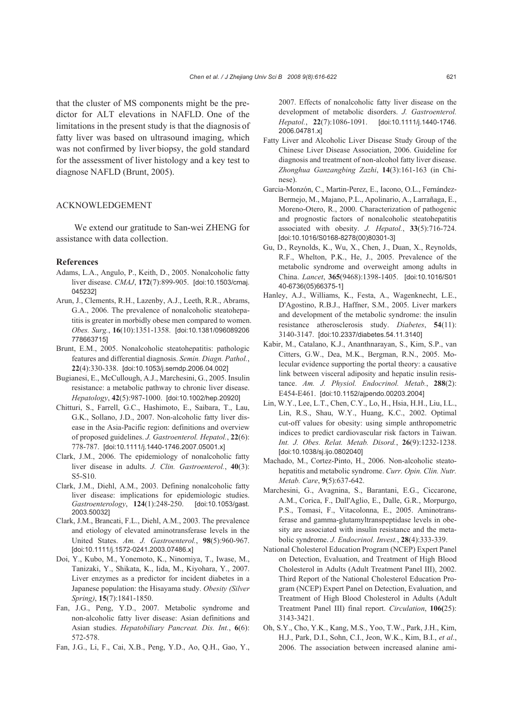that the cluster of MS components might be the predictor for ALT elevations in NAFLD. One of the limitations in the present study is that the diagnosis of fatty liver was based on ultrasound imaging, which was not confirmed by liver biopsy, the gold standard for the assessment of liver histology and a key test to diagnose NAFLD (Brunt, 2005).

#### ACKNOWLEDGEMENT

We extend our gratitude to San-wei ZHENG for assistance with data collection.

## **References**

- Adams, L.A., Angulo, P., Keith, D., 2005. Nonalcoholic fatty liver disease. *CMAJ*, **172**(7):899-905. [doi:10.1503/cmaj. 045232]
- Arun, J., Clements, R.H., Lazenby, A.J., Leeth, R.R., Abrams, G.A., 2006. The prevalence of nonalcoholic steatohepatitis is greater in morbidly obese men compared to women. *Obes. Surg.*, **16**(10):1351-1358. [doi:10.1381/096089206 778663715]
- Brunt, E.M., 2005. Nonalcoholic steatohepatitis: pathologic features and differential diagnosis. *Semin. Diagn. Pathol.*, **22**(4):330-338. [doi:10.1053/j.semdp.2006.04.002]
- Bugianesi, E., McCullough, A.J., Marchesini, G., 2005. Insulin resistance: a metabolic pathway to chronic liver disease. *Hepatology*, **42**(5):987-1000. [doi:10.1002/hep.20920]
- Chitturi, S., Farrell, G.C., Hashimoto, E., Saibara, T., Lau, G.K., Sollano, J.D., 2007. Non-alcoholic fatty liver disease in the Asia-Pacific region: definitions and overview of proposed guidelines. *J. Gastroenterol. Hepatol.*, **22**(6): 778-787. [doi:10.1111/j.1440-1746.2007.05001.x]
- Clark, J.M., 2006. The epidemiology of nonalcoholic fatty liver disease in adults. *J. Clin. Gastroenterol.*, **40**(3): S5-S10.
- Clark, J.M., Diehl, A.M., 2003. Defining nonalcoholic fatty liver disease: implications for epidemiologic studies. *Gastroenterology*, **124**(1):248-250. [doi:10.1053/gast. 2003.50032]
- Clark, J.M., Brancati, F.L., Diehl, A.M., 2003. The prevalence and etiology of elevated aminotransferase levels in the United States. *Am. J. Gastroenterol.*, **98**(5):960-967. [doi:10.1111/j.1572-0241.2003.07486.x]
- Doi, Y., Kubo, M., Yonemoto, K., Ninomiya, T., Iwase, M., Tanizaki, Y., Shikata, K., Iida, M., Kiyohara, Y., 2007. Liver enzymes as a predictor for incident diabetes in a Japanese population: the Hisayama study. *Obesity (Silver Spring)*, **15**(7):1841-1850.
- Fan, J.G., Peng, Y.D., 2007. Metabolic syndrome and non-alcoholic fatty liver disease: Asian definitions and Asian studies. *Hepatobiliary Pancreat. Dis. Int.*, **6**(6): 572-578.
- Fan, J.G., Li, F., Cai, X.B., Peng, Y.D., Ao, Q.H., Gao, Y.,

2007. Effects of nonalcoholic fatty liver disease on the development of metabolic disorders. *J. Gastroenterol. Hepatol.*, **22**(7):1086-1091. [doi:10.1111/j.1440-1746. 2006.04781.x]

- Fatty Liver and Alcoholic Liver Disease Study Group of the Chinese Liver Disease Association, 2006. Guideline for diagnosis and treatment of non-alcohol fatty liver disease. *Zhonghua Ganzangbing Zazhi*, **14**(3):161-163 (in Chinese).
- Garcia-Monzón, C., Martin-Perez, E., Iacono, O.L., Fernández-Bermejo, M., Majano, P.L., Apolinario, A., Larrañaga, E., Moreno-Otero, R., 2000. Characterization of pathogenic and prognostic factors of nonalcoholic steatohepatitis associated with obesity. *J. Hepatol.*, **33**(5):716-724. [doi:10.1016/S0168-8278(00)80301-3]
- Gu, D., Reynolds, K., Wu, X., Chen, J., Duan, X., Reynolds, R.F., Whelton, P.K., He, J., 2005. Prevalence of the metabolic syndrome and overweight among adults in China. *Lancet*, **365**(9468):1398-1405. [doi:10.1016/S01 40-6736(05)66375-1]
- Hanley, A.J., Williams, K., Festa, A., Wagenknecht, L.E., D'Agostino, R.B.J., Haffner, S.M., 2005. Liver markers and development of the metabolic syndrome: the insulin resistance atherosclerosis study. *Diabetes*, **54**(11): 3140-3147. [doi:10.2337/diabetes.54.11.3140]
- Kabir, M., Catalano, K.J., Ananthnarayan, S., Kim, S.P., van Citters, G.W., Dea, M.K., Bergman, R.N., 2005. Molecular evidence supporting the portal theory: a causative link between visceral adiposity and hepatic insulin resistance. *Am. J. Physiol. Endocrinol. Metab.*, **288**(2): E454-E461. [doi:10.1152/ajpendo.00203.2004]
- Lin, W.Y., Lee, L.T., Chen, C.Y., Lo, H., Hsia, H.H., Liu, I.L., Lin, R.S., Shau, W.Y., Huang, K.C., 2002. Optimal cut-off values for obesity: using simple anthropometric indices to predict cardiovascular risk factors in Taiwan. *Int. J. Obes. Relat. Metab. Disord.*, **26**(9):1232-1238. [doi:10.1038/sj.ijo.0802040]
- Machado, M., Cortez-Pinto, H., 2006. Non-alcoholic steatohepatitis and metabolic syndrome. *Curr. Opin. Clin. Nutr. Metab. Care*, **9**(5):637-642.
- Marchesini, G., Avagnina, S., Barantani, E.G., Ciccarone, A.M., Corica, F., Dall'Aglio, E., Dalle, G.R., Morpurgo, P.S., Tomasi, F., Vitacolonna, E., 2005. Aminotransferase and gamma-glutamyltranspeptidase levels in obesity are associated with insulin resistance and the metabolic syndrome. *J. Endocrinol. Invest.*, **28**(4):333-339.
- National Cholesterol Education Program (NCEP) Expert Panel on Detection, Evaluation, and Treatment of High Blood Cholesterol in Adults (Adult Treatment Panel III), 2002. Third Report of the National Cholesterol Education Program (NCEP) Expert Panel on Detection, Evaluation, and Treatment of High Blood Cholesterol in Adults (Adult Treatment Panel III) final report. *Circulation*, **106(**25): 3143-3421.
- Oh, S.Y., Cho, Y.K., Kang, M.S., Yoo, T.W., Park, J.H., Kim, H.J., Park, D.I., Sohn, C.I., Jeon, W.K., Kim, B.I., *et al*., 2006. The association between increased alanine ami-